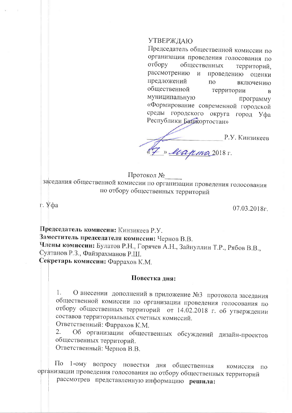## **УТВЕРЖДАЮ**

Председатель общественной комиссии по организации проведения голосования по отбору общественных территорий, рассмотрению и проведению оценки предложений  $\overline{10}$ включению общественной территории  $\overline{R}$ муниципальную программу «Формирование современной городской среды городского округа город Уфа Республики Башкортостан»

Р.У. Кинзикеев Freapman 2018 r.

Протокол №

заседания общественной комиссии по организации проведения голосования по отбору общественных территорий

г. Уфа

 $07.03.2018$ r.

Председатель комиссии: Кинзикеев Р.У. Заместитель председателя комиссии: Чернов В.В. Члены комиссии: Булатов Р.Н., Горячев А.Н., Зайнуллин Т.Р., Рябов В.В., Султанов Р.З., Файзрахманов Р.Ш. Секретарь комиссии: Фаррахов К.М.

Повестка дня:

О внесении дополнений в приложение №3 протокола заседания  $1.$ общественной комиссии по организации проведения голосования по отбору общественных территорий от 14.02.2018 г. об утверждении составов территориальных счетных комиссий.

Ответственный: Фаррахов К.М.

Об организации общественных обсуждений дизайн-проектов 2. общественных территорий.

Ответственный: Чернов В.В.

 $\Pi$ <sup>o</sup>  $1$ - $\delta$ my вопросу повестки дня общественная комиссия по организации проведения голосования по отбору общественных территорий

рассмотрев представленную информацию решила: